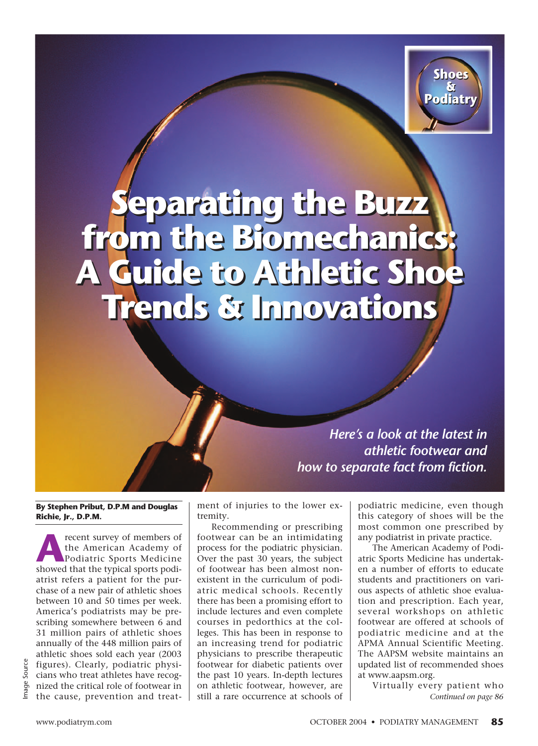

# **Separating the Buzz from the Biomechanics: A Guide to Athletic Shoe A Guide to Athletic Shoe Trends & Innovations Trends & Innovations Separating the Buzz from the Biomechanics:**

*Here's a look at the latest in athletic footwear and how to separate fact from fiction.*

**By Stephen Pribut, D.P.M and Douglas Richie, Jr., D.P.M.**

**A**recent survey of members of<br>the American Academy of<br>Podiatric Sports Medicine<br>showed that the typical sports podithe American Academy of showed that the typical sports podiatrist refers a patient for the purchase of a new pair of athletic shoes between 10 and 50 times per week. America's podiatrists may be prescribing somewhere between 6 and 31 million pairs of athletic shoes annually of the 448 million pairs of athletic shoes sold each year (2003 figures). Clearly, podiatric physicians who treat athletes have recognized the critical role of footwear in the cause, prevention and treatment of injuries to the lower extremity.

Recommending or prescribing footwear can be an intimidating process for the podiatric physician. Over the past 30 years, the subject of footwear has been almost nonexistent in the curriculum of podiatric medical schools. Recently there has been a promising effort to include lectures and even complete courses in pedorthics at the colleges. This has been in response to an increasing trend for podiatric physicians to prescribe therapeutic footwear for diabetic patients over the past 10 years. In-depth lectures on athletic footwear, however, are still a rare occurrence at schools of podiatric medicine, even though this category of shoes will be the most common one prescribed by any podiatrist in private practice.

The American Academy of Podiatric Sports Medicine has undertaken a number of efforts to educate students and practitioners on various aspects of athletic shoe evaluation and prescription. Each year, several workshops on athletic footwear are offered at schools of podiatric medicine and at the APMA Annual Scientific Meeting. The AAPSM website maintains an updated list of recommended shoes at www.aapsm.org.

Virtually every patient who *Continued on page 86*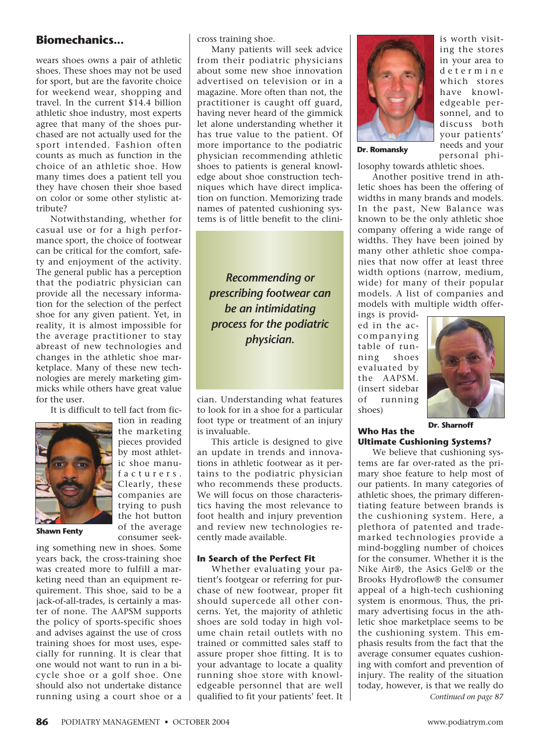wears shoes owns a pair of athletic shoes. These shoes may not be used for sport, but are the favorite choice for weekend wear, shopping and travel. In the current \$14.4 billion athletic shoe industry, most experts agree that many of the shoes purchased are not actually used for the sport intended. Fashion often counts as much as function in the choice of an athletic shoe. How many times does a patient tell you they have chosen their shoe based on color or some other stylistic attribute?

Notwithstanding, whether for casual use or for a high performance sport, the choice of footwear can be critical for the comfort, safety and enjoyment of the activity. The general public has a perception that the podiatric physician can provide all the necessary information for the selection of the perfect shoe for any given patient. Yet, in reality, it is almost impossible for the average practitioner to stay abreast of new technologies and changes in the athletic shoe marketplace. Many of these new technologies are merely marketing gimmicks while others have great value for the user.

It is difficult to tell fact from fic-



tion in reading the marketing pieces provided by most athletic shoe manufacturers. Clearly, these companies are trying to push the hot button of the average consumer seek-

**Shawn Fenty**

ing something new in shoes. Some years back, the cross-training shoe was created more to fulfill a marketing need than an equipment requirement. This shoe, said to be a jack-of-all-trades, is certainly a master of none. The AAPSM supports the policy of sports-specific shoes and advises against the use of cross training shoes for most uses, especially for running. It is clear that one would not want to run in a bicycle shoe or a golf shoe. One should also not undertake distance running using a court shoe or a

cross training shoe.

Many patients will seek advice from their podiatric physicians about some new shoe innovation advertised on television or in a magazine. More often than not, the practitioner is caught off guard, having never heard of the gimmick let alone understanding whether it has true value to the patient. Of more importance to the podiatric physician recommending athletic shoes to patients is general knowledge about shoe construction techniques which have direct implication on function. Memorizing trade names of patented cushioning systems is of little benefit to the clini-

*Recommending or prescribing footwear can be an intimidating process for the podiatric physician.*

cian. Understanding what features to look for in a shoe for a particular foot type or treatment of an injury is invaluable.

This article is designed to give an update in trends and innovations in athletic footwear as it pertains to the podiatric physician who recommends these products. We will focus on those characteristics having the most relevance to foot health and injury prevention and review new technologies recently made available.

### **In Search of the Perfect Fit**

Whether evaluating your patient's footgear or referring for purchase of new footwear, proper fit should supercede all other concerns. Yet, the majority of athletic shoes are sold today in high volume chain retail outlets with no trained or committed sales staff to assure proper shoe fitting. It is to your advantage to locate a quality running shoe store with knowledgeable personnel that are well qualified to fit your patients' feet. It



**Dr. Romansky**

is worth visiting the stores in your area to determine which stores have knowledgeable personnel, and to discuss both your patients' needs and your personal phi-

losophy towards athletic shoes.

Another positive trend in athletic shoes has been the offering of widths in many brands and models. In the past, New Balance was known to be the only athletic shoe company offering a wide range of widths. They have been joined by many other athletic shoe companies that now offer at least three width options (narrow, medium, wide) for many of their popular models. A list of companies and models with multiple width offer-

ings is provided in the accompanying table of running shoes evaluated by the AAPSM. (insert sidebar of running shoes)



**Dr. Sharnoff**

### **Who Has the Ultimate Cushioning Systems?**

We believe that cushioning systems are far over-rated as the primary shoe feature to help most of our patients. In many categories of athletic shoes, the primary differentiating feature between brands is the cushioning system. Here, a plethora of patented and trademarked technologies provide a mind-boggling number of choices for the consumer. Whether it is the Nike Air®, the Asics Gel® or the Brooks Hydroflow® the consumer appeal of a high-tech cushioning system is enormous. Thus, the primary advertising focus in the athletic shoe marketplace seems to be the cushioning system. This emphasis results from the fact that the average consumer equates cushioning with comfort and prevention of injury. The reality of the situation today, however, is that we really do *Continued on page 87*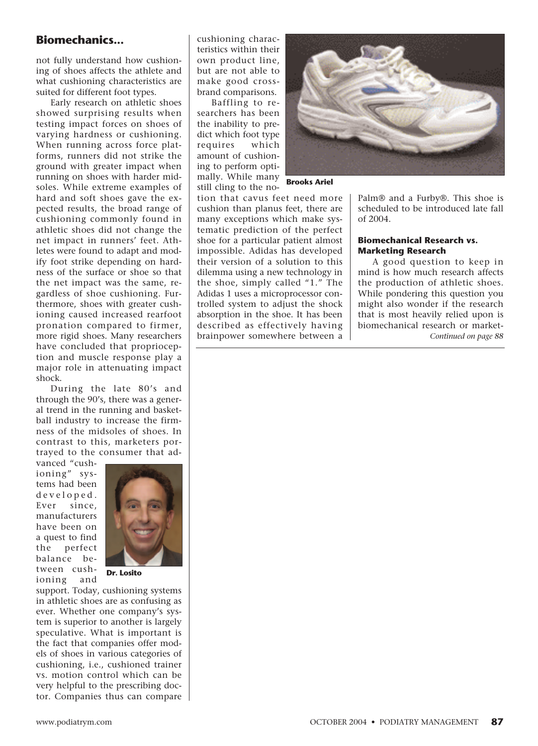# **Biomechanics... CO** cushioning charac-

not fully understand how cushioning of shoes affects the athlete and what cushioning characteristics are suited for different foot types.

Early research on athletic shoes showed surprising results when testing impact forces on shoes of varying hardness or cushioning. When running across force platforms, runners did not strike the ground with greater impact when running on shoes with harder midsoles. While extreme examples of hard and soft shoes gave the expected results, the broad range of cushioning commonly found in athletic shoes did not change the net impact in runners' feet. Athletes were found to adapt and modify foot strike depending on hardness of the surface or shoe so that the net impact was the same, regardless of shoe cushioning. Furthermore, shoes with greater cushioning caused increased rearfoot pronation compared to firmer, more rigid shoes. Many researchers have concluded that proprioception and muscle response play a major role in attenuating impact shock.

During the late 80's and through the 90's, there was a general trend in the running and basketball industry to increase the firmness of the midsoles of shoes. In contrast to this, marketers portrayed to the consumer that ad-

vanced "cushioning" systems had been developed. Ever since, manufacturers have been on a quest to find the perfect balance between cushioning and



**Dr. Losito**

support. Today, cushioning systems in athletic shoes are as confusing as ever. Whether one company's system is superior to another is largely speculative. What is important is the fact that companies offer models of shoes in various categories of cushioning, i.e., cushioned trainer vs. motion control which can be very helpful to the prescribing doctor. Companies thus can compare teristics within their own product line, but are not able to make good crossbrand comparisons.

Baffling to researchers has been the inability to predict which foot type requires which amount of cushioning to perform optimally. While many still cling to the no-



**Brooks Ariel**

tion that cavus feet need more cushion than planus feet, there are many exceptions which make systematic prediction of the perfect shoe for a particular patient almost impossible. Adidas has developed their version of a solution to this dilemma using a new technology in the shoe, simply called "1." The Adidas 1 uses a microprocessor controlled system to adjust the shock absorption in the shoe. It has been described as effectively having brainpower somewhere between a Palm® and a Furby®. This shoe is scheduled to be introduced late fall of 2004.

### **Biomechanical Research vs. Marketing Research**

A good question to keep in mind is how much research affects the production of athletic shoes. While pondering this question you might also wonder if the research that is most heavily relied upon is biomechanical research or market-*Continued on page 88*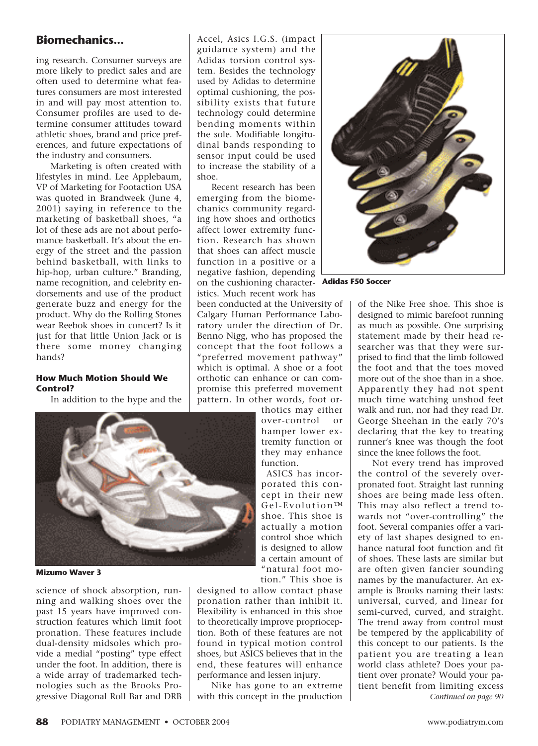ing research. Consumer surveys are more likely to predict sales and are often used to determine what features consumers are most interested in and will pay most attention to. Consumer profiles are used to determine consumer attitudes toward athletic shoes, brand and price preferences, and future expectations of the industry and consumers.

Marketing is often created with lifestyles in mind. Lee Applebaum, VP of Marketing for Footaction USA was quoted in Brandweek (June 4, 2001) saying in reference to the marketing of basketball shoes, "a lot of these ads are not about perfomance basketball. It's about the energy of the street and the passion behind basketball, with links to hip-hop, urban culture." Branding, name recognition, and celebrity endorsements and use of the product generate buzz and energy for the product. Why do the Rolling Stones wear Reebok shoes in concert? Is it just for that little Union Jack or is there some money changing hands?

### **How Much Motion Should We Control?**

In addition to the hype and the



**Mizumo Waver 3**

science of shock absorption, running and walking shoes over the past 15 years have improved construction features which limit foot pronation. These features include dual-density midsoles which provide a medial "posting" type effect under the foot. In addition, there is a wide array of trademarked technologies such as the Brooks Progressive Diagonal Roll Bar and DRB

Accel, Asics I.G.S. (impact guidance system) and the Adidas torsion control system. Besides the technology used by Adidas to determine optimal cushioning, the possibility exists that future technology could determine bending moments within the sole. Modifiable longitudinal bands responding to sensor input could be used to increase the stability of a shoe.

Recent research has been emerging from the biomechanics community regarding how shoes and orthotics affect lower extremity function. Research has shown that shoes can affect muscle function in a positive or a negative fashion, depending on the cushioning character-**Adidas F50 Soccer** istics. Much recent work has

been conducted at the University of Calgary Human Performance Laboratory under the direction of Dr. Benno Nigg, who has proposed the concept that the foot follows a "preferred movement pathway" which is optimal. A shoe or a foot orthotic can enhance or can compromise this preferred movement pattern. In other words, foot or-

thotics may either over-control or hamper lower extremity function or they may enhance function.

ASICS has incorporated this concept in their new Gel-Evolution™ shoe. This shoe is actually a motion control shoe which is designed to allow a certain amount of "natural foot motion." This shoe is

designed to allow contact phase pronation rather than inhibit it. Flexibility is enhanced in this shoe to theoretically improve proprioception. Both of these features are not found in typical motion control shoes, but ASICS believes that in the end, these features will enhance performance and lessen injury.

Nike has gone to an extreme with this concept in the production



of the Nike Free shoe. This shoe is designed to mimic barefoot running as much as possible. One surprising statement made by their head researcher was that they were surprised to find that the limb followed the foot and that the toes moved more out of the shoe than in a shoe. Apparently they had not spent much time watching unshod feet walk and run, nor had they read Dr. George Sheehan in the early 70's declaring that the key to treating runner's knee was though the foot since the knee follows the foot.

Not every trend has improved the control of the severely overpronated foot. Straight last running shoes are being made less often. This may also reflect a trend towards not "over-controlling" the foot. Several companies offer a variety of last shapes designed to enhance natural foot function and fit of shoes. These lasts are similar but are often given fancier sounding names by the manufacturer. An example is Brooks naming their lasts: universal, curved, and linear for semi-curved, curved, and straight. The trend away from control must be tempered by the applicability of this concept to our patients. Is the patient you are treating a lean world class athlete? Does your patient over pronate? Would your patient benefit from limiting excess *Continued on page 90*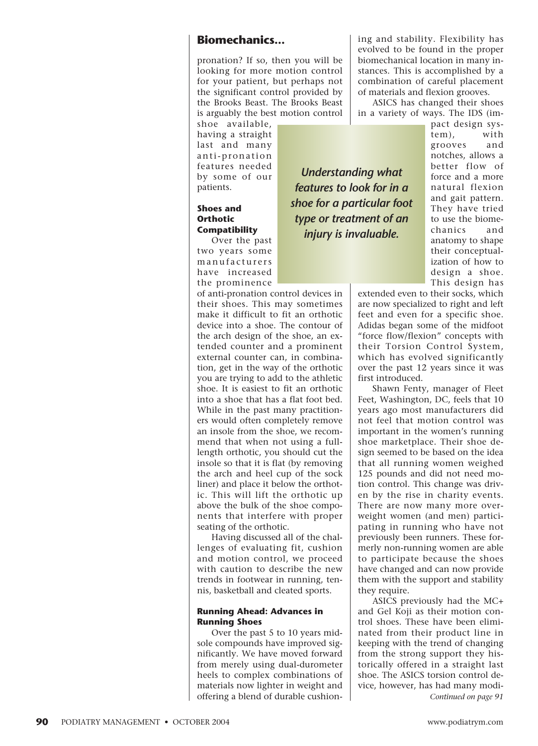pronation? If so, then you will be looking for more motion control for your patient, but perhaps not the significant control provided by the Brooks Beast. The Brooks Beast is arguably the best motion control

shoe available, having a straight last and many anti-pronation features needed by some of our patients.

### **Shoes and Orthotic Compatibility**

Over the past two years some manufacturers have increased the prominence

of anti-pronation control devices in their shoes. This may sometimes make it difficult to fit an orthotic device into a shoe. The contour of the arch design of the shoe, an extended counter and a prominent external counter can, in combination, get in the way of the orthotic you are trying to add to the athletic shoe. It is easiest to fit an orthotic into a shoe that has a flat foot bed. While in the past many practitioners would often completely remove an insole from the shoe, we recommend that when not using a fulllength orthotic, you should cut the insole so that it is flat (by removing the arch and heel cup of the sock liner) and place it below the orthotic. This will lift the orthotic up above the bulk of the shoe components that interfere with proper seating of the orthotic.

Having discussed all of the challenges of evaluating fit, cushion and motion control, we proceed with caution to describe the new trends in footwear in running, tennis, basketball and cleated sports.

### **Running Ahead: Advances in Running Shoes**

Over the past 5 to 10 years midsole compounds have improved significantly. We have moved forward from merely using dual-durometer heels to complex combinations of materials now lighter in weight and offering a blend of durable cushioning and stability. Flexibility has evolved to be found in the proper biomechanical location in many instances. This is accomplished by a combination of careful placement of materials and flexion grooves.

ASICS has changed their shoes in a variety of ways. The IDS (im-

*Understanding what features to look for in a shoe for a particular foot type or treatment of an injury is invaluable.*

pact design system), with grooves and notches, allows a better flow of force and a more natural flexion and gait pattern. They have tried to use the biomechanics and anatomy to shape their conceptualization of how to design a shoe. This design has

extended even to their socks, which are now specialized to right and left feet and even for a specific shoe. Adidas began some of the midfoot "force flow/flexion" concepts with their Torsion Control System, which has evolved significantly over the past 12 years since it was first introduced.

Shawn Fenty, manager of Fleet Feet, Washington, DC, feels that 10 years ago most manufacturers did not feel that motion control was important in the women's running shoe marketplace. Their shoe design seemed to be based on the idea that all running women weighed 125 pounds and did not need motion control. This change was driven by the rise in charity events. There are now many more overweight women (and men) participating in running who have not previously been runners. These formerly non-running women are able to participate because the shoes have changed and can now provide them with the support and stability they require.

ASICS previously had the MC+ and Gel Koji as their motion control shoes. These have been eliminated from their product line in keeping with the trend of changing from the strong support they historically offered in a straight last shoe. The ASICS torsion control device, however, has had many modi-*Continued on page 91*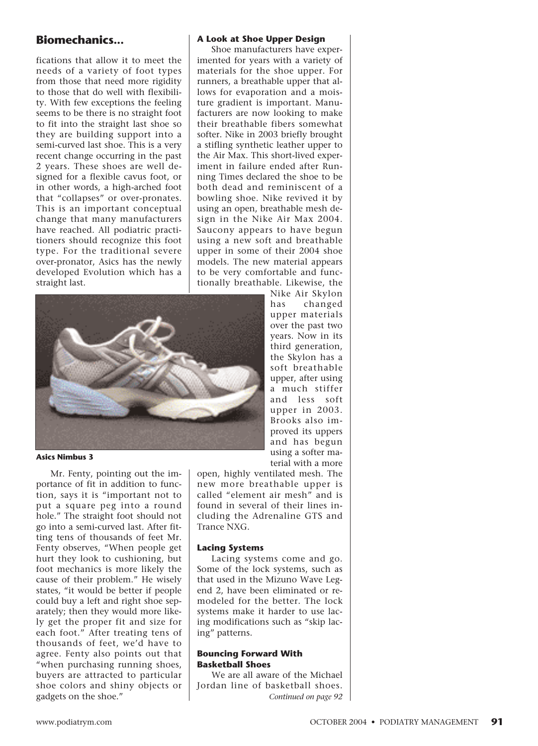fications that allow it to meet the needs of a variety of foot types from those that need more rigidity to those that do well with flexibility. With few exceptions the feeling seems to be there is no straight foot to fit into the straight last shoe so they are building support into a semi-curved last shoe. This is a very recent change occurring in the past 2 years. These shoes are well designed for a flexible cavus foot, or in other words, a high-arched foot that "collapses" or over-pronates. This is an important conceptual change that many manufacturers have reached. All podiatric practitioners should recognize this foot type. For the traditional severe over-pronator, Asics has the newly developed Evolution which has a straight last.



#### **Asics Nimbus 3**

Mr. Fenty, pointing out the importance of fit in addition to function, says it is "important not to put a square peg into a round hole." The straight foot should not go into a semi-curved last. After fitting tens of thousands of feet Mr. Fenty observes, "When people get hurt they look to cushioning, but foot mechanics is more likely the cause of their problem." He wisely states, "it would be better if people could buy a left and right shoe separately; then they would more likely get the proper fit and size for each foot." After treating tens of thousands of feet, we'd have to agree. Fenty also points out that "when purchasing running shoes, buyers are attracted to particular shoe colors and shiny objects or gadgets on the shoe."

#### **A Look at Shoe Upper Design**

Shoe manufacturers have experimented for years with a variety of materials for the shoe upper. For runners, a breathable upper that allows for evaporation and a moisture gradient is important. Manufacturers are now looking to make their breathable fibers somewhat softer. Nike in 2003 briefly brought a stifling synthetic leather upper to the Air Max. This short-lived experiment in failure ended after Running Times declared the shoe to be both dead and reminiscent of a bowling shoe. Nike revived it by using an open, breathable mesh design in the Nike Air Max 2004. Saucony appears to have begun using a new soft and breathable upper in some of their 2004 shoe models. The new material appears to be very comfortable and functionally breathable. Likewise, the

> Nike Air Skylon has changed upper materials over the past two years. Now in its third generation, the Skylon has a soft breathable upper, after using a much stiffer and less soft upper in 2003. Brooks also improved its uppers and has begun using a softer material with a more

open, highly ventilated mesh. The new more breathable upper is called "element air mesh" and is found in several of their lines including the Adrenaline GTS and Trance NXG.

#### **Lacing Systems**

Lacing systems come and go. Some of the lock systems, such as that used in the Mizuno Wave Legend 2, have been eliminated or remodeled for the better. The lock systems make it harder to use lacing modifications such as "skip lacing" patterns.

#### **Bouncing Forward With Basketball Shoes**

We are all aware of the Michael Jordan line of basketball shoes. *Continued on page 92*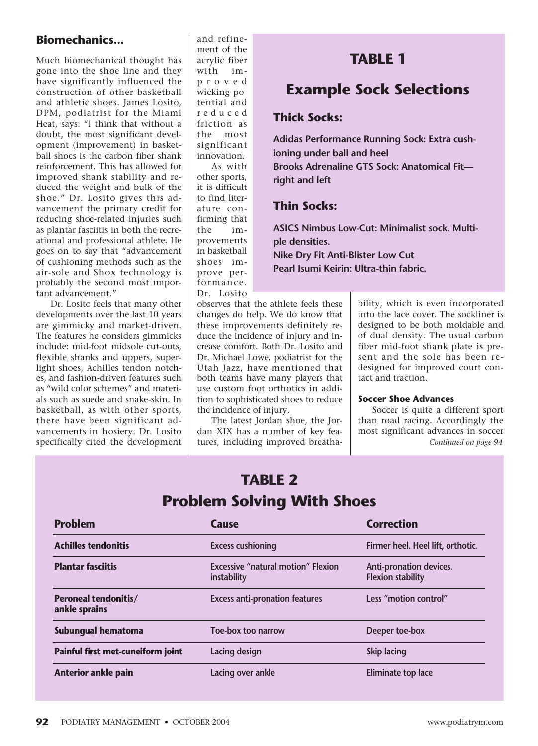Much biomechanical thought has gone into the shoe line and they have significantly influenced the construction of other basketball and athletic shoes. James Losito, DPM, podiatrist for the Miami Heat, says: "I think that without a doubt, the most significant development (improvement) in basketball shoes is the carbon fiber shank reinforcement. This has allowed for improved shank stability and reduced the weight and bulk of the shoe." Dr. Losito gives this advancement the primary credit for reducing shoe-related injuries such as plantar fasciitis in both the recreational and professional athlete. He goes on to say that "advancement of cushioning methods such as the air-sole and Shox technology is probably the second most important advancement."

Dr. Losito feels that many other developments over the last 10 years are gimmicky and market-driven. The features he considers gimmicks include: mid-foot midsole cut-outs, flexible shanks and uppers, superlight shoes, Achilles tendon notches, and fashion-driven features such as "wild color schemes" and materials such as suede and snake-skin. In basketball, as with other sports, there have been significant advancements in hosiery. Dr. Losito specifically cited the development

and refinement of the acrylic fiber with improved wicking potential and reduced friction as the most significant innovation. As with

other sports, it is difficult to find literature confirming that improvements in basketball shoes improve performance. Dr. Losito

# **TABLE 1**

# **Example Sock Selections**

# **Thick Socks:**

**Adidas Performance Running Sock: Extra cushioning under ball and heel Brooks Adrenaline GTS Sock: Anatomical Fit right and left**

# **Thin Socks:**

**ASICS Nimbus Low-Cut: Minimalist sock. Multiple densities. Nike Dry Fit Anti-Blister Low Cut Pearl Isumi Keirin: Ultra-thin fabric.**

observes that the athlete feels these changes do help. We do know that these improvements definitely reduce the incidence of injury and increase comfort. Both Dr. Losito and Dr. Michael Lowe, podiatrist for the Utah Jazz, have mentioned that both teams have many players that use custom foot orthotics in addition to sophisticated shoes to reduce the incidence of injury.

The latest Jordan shoe, the Jordan XIX has a number of key features, including improved breatha-

**TABLE 2**

bility, which is even incorporated into the lace cover. The sockliner is designed to be both moldable and of dual density. The usual carbon fiber mid-foot shank plate is present and the sole has been redesigned for improved court contact and traction.

### **Soccer Shoe Advances**

Soccer is quite a different sport than road racing. Accordingly the most significant advances in soccer *Continued on page 94*

| IABLE Z<br><b>Problem Solving With Shoes</b> |                                                          |                                                     |
|----------------------------------------------|----------------------------------------------------------|-----------------------------------------------------|
|                                              |                                                          |                                                     |
| <b>Achilles tendonitis</b>                   | <b>Excess cushioning</b>                                 | Firmer heel. Heel lift, orthotic.                   |
| <b>Plantar fasciitis</b>                     | <b>Excessive "natural motion" Flexion</b><br>instability | Anti-pronation devices.<br><b>Flexion stability</b> |
| <b>Peroneal tendonitis/</b><br>ankle sprains | <b>Excess anti-pronation features</b>                    | Less "motion control"                               |
| Subungual hematoma                           | Toe-box too narrow                                       | Deeper toe-box                                      |
| Painful first met-cuneiform joint            | Lacing design                                            | <b>Skip lacing</b>                                  |
| <b>Anterior ankle pain</b>                   | Lacing over ankle                                        | Eliminate top lace                                  |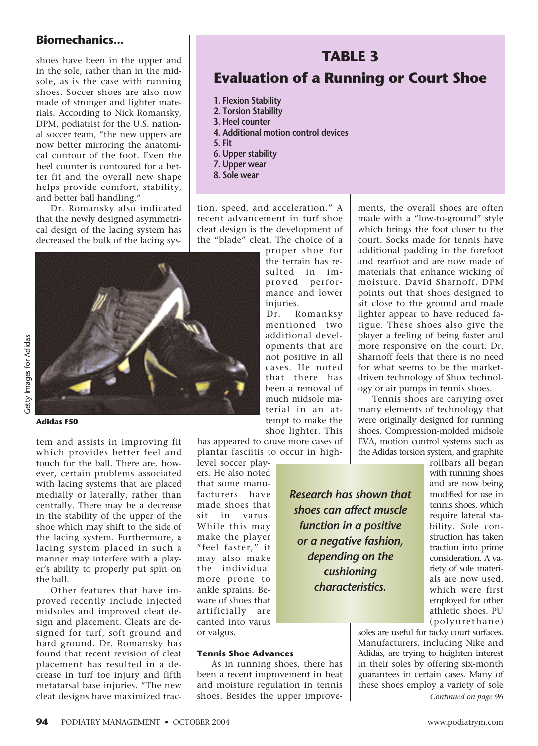shoes have been in the upper and in the sole, rather than in the midsole, as is the case with running shoes. Soccer shoes are also now made of stronger and lighter materials. According to Nick Romansky, DPM, podiatrist for the U.S. national soccer team, "the new uppers are now better mirroring the anatomical contour of the foot. Even the heel counter is contoured for a better fit and the overall new shape helps provide comfort, stability, and better ball handling."

Dr. Romansky also indicated that the newly designed asymmetrical design of the lacing system has decreased the bulk of the lacing sys-

# **TABLE 3**

# **Evaluation of a Running or Court Shoe**

- **1. Flexion Stability**
- **2. Torsion Stability**
- **3. Heel counter**
- **4. Additional motion control devices**
- **5. Fit**
- **6. Upper stability**
- **7. Upper wear**
- **8. Sole wear**

tion, speed, and acceleration." A recent advancement in turf shoe cleat design is the development of the "blade" cleat. The choice of a

injuries.

proper shoe for the terrain has resulted in improved performance and lower

Dr. Romanksy mentioned two additional developments that are not positive in all cases. He noted that there has been a removal of much midsole material in an at-



**Adidas F50**

Getty Images for Adidas Getty Images for Adidas

> tem and assists in improving fit which provides better feel and touch for the ball. There are, however, certain problems associated with lacing systems that are placed medially or laterally, rather than centrally. There may be a decrease in the stability of the upper of the shoe which may shift to the side of the lacing system. Furthermore, a lacing system placed in such a manner may interfere with a player's ability to properly put spin on

> Other features that have improved recently include injected midsoles and improved cleat design and placement. Cleats are designed for turf, soft ground and hard ground. Dr. Romansky has found that recent revision of cleat placement has resulted in a decrease in turf toe injury and fifth metatarsal base injuries. "The new cleat designs have maximized trac

has appeared to cause more cases of plantar fasciitis to occur in high-

ers. He also noted that some manufacturers have made shoes that sit in varus. While this may make the player "feel faster," it may also make the individual more prone to ankle sprains. Beware of shoes that artificially are canted into varus or valgus.

**Tennis Shoe Advances**

As in running shoes, there has been a recent improvement in heat and moisture regulation in tennis shoes. Besides the upper improve-

*Research has shown that shoes can affect muscle function in a positive or a negative fashion, depending on the cushioning characteristics.*

ments, the overall shoes are often made with a "low-to-ground" style which brings the foot closer to the court. Socks made for tennis have additional padding in the forefoot and rearfoot and are now made of materials that enhance wicking of moisture. David Sharnoff, DPM points out that shoes designed to sit close to the ground and made lighter appear to have reduced fatigue. These shoes also give the player a feeling of being faster and more responsive on the court. Dr. Sharnoff feels that there is no need for what seems to be the marketdriven technology of Shox technology or air pumps in tennis shoes.

Tennis shoes are carrying over many elements of technology that were originally designed for running shoes. Compression-molded midsole EVA, motion control systems such as the Adidas torsion system, and graphite

rollbars all began with running shoes and are now being modified for use in tennis shoes, which require lateral stability. Sole construction has taken traction into prime consideration. A variety of sole materials are now used, which were first employed for other athletic shoes. PU (polyurethane)

soles are useful for tacky court surfaces. Manufacturers, including Nike and Adidas, are trying to heighten interest in their soles by offering six-month guarantees in certain cases. Many of these shoes employ a variety of sole *Continued on page 96*

tempt to make the shoe lighter. This level soccer play-

the ball.

# **94** PODIATRY MANAGEMENT • OCTOBER 2004 www.podiatrym.com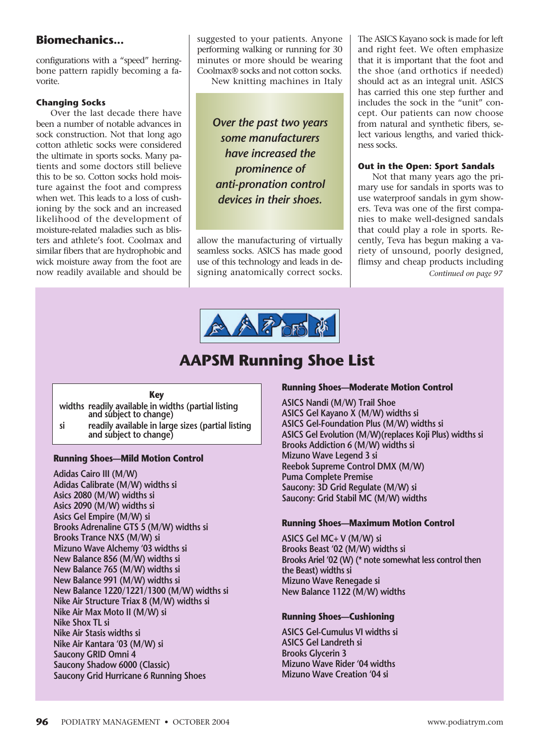configurations with a "speed" herringbone pattern rapidly becoming a favorite.

### **Changing Socks**

Over the last decade there have been a number of notable advances in sock construction. Not that long ago cotton athletic socks were considered the ultimate in sports socks. Many patients and some doctors still believe this to be so. Cotton socks hold moisture against the foot and compress when wet. This leads to a loss of cushioning by the sock and an increased likelihood of the development of moisture-related maladies such as blisters and athlete's foot. Coolmax and similar fibers that are hydrophobic and wick moisture away from the foot are now readily available and should be

suggested to your patients. Anyone performing walking or running for 30 minutes or more should be wearing Coolmax® socks and not cotton socks.

New knitting machines in Italy

*Over the past two years some manufacturers have increased the prominence of anti-pronation control devices in their shoes.*

allow the manufacturing of virtually seamless socks. ASICS has made good use of this technology and leads in designing anatomically correct socks. The ASICS Kayano sock is made for left and right feet. We often emphasize that it is important that the foot and the shoe (and orthotics if needed) should act as an integral unit. ASICS has carried this one step further and includes the sock in the "unit" concept. Our patients can now choose from natural and synthetic fibers, select various lengths, and varied thickness socks.

### **Out in the Open: Sport Sandals**

Not that many years ago the primary use for sandals in sports was to use waterproof sandals in gym showers. Teva was one of the first companies to make well-designed sandals that could play a role in sports. Recently, Teva has begun making a variety of unsound, poorly designed, flimsy and cheap products including *Continued on page 97*



# **AAPSM Running Shoe List**

### **Key**

- **widths readily available in widths (partial listing and subject to change)**
- **si readily available in large sizes (partial listing and subject to change)**

### **Running Shoes—Mild Motion Control**

**Adidas Cairo III (M/W) Adidas Calibrate (M/W) widths si Asics 2080 (M/W) widths si Asics 2090 (M/W) widths si Asics Gel Empire (M/W) si Brooks Adrenaline GTS 5 (M/W) widths si Brooks Trance NXS (M/W) si Mizuno Wave Alchemy '03 widths si New Balance 856 (M/W) widths si New Balance 765 (M/W) widths si New Balance 991 (M/W) widths si New Balance 1220/1221/1300 (M/W) widths si Nike Air Structure Triax 8 (M/W) widths si Nike Air Max Moto II (M/W) si Nike Shox TL si Nike Air Stasis widths si Nike Air Kantara '03 (M/W) si Saucony GRID Omni 4 Saucony Shadow 6000 (Classic) Saucony Grid Hurricane 6 Running Shoes**

### **Running Shoes—Moderate Motion Control**

**ASICS Nandi (M/W) Trail Shoe ASICS Gel Kayano X (M/W) widths si ASICS Gel-Foundation Plus (M/W) widths si ASICS Gel Evolution (M/W)(replaces Koji Plus) widths si Brooks Addiction 6 (M/W) widths si Mizuno Wave Legend 3 si Reebok Supreme Control DMX (M/W) Puma Complete Premise Saucony: 3D Grid Regulate (M/W) si Saucony: Grid Stabil MC (M/W) widths**

### **Running Shoes—Maximum Motion Control**

**ASICS Gel MC+ V (M/W) si Brooks Beast '02 (M/W) widths si Brooks Ariel '02 (W) (\* note somewhat less control then the Beast) widths si Mizuno Wave Renegade si New Balance 1122 (M/W) widths**

### **Running Shoes—Cushioning**

**ASICS Gel-Cumulus VI widths si ASICS Gel Landreth si Brooks Glycerin 3 Mizuno Wave Rider '04 widths Mizuno Wave Creation '04 si**